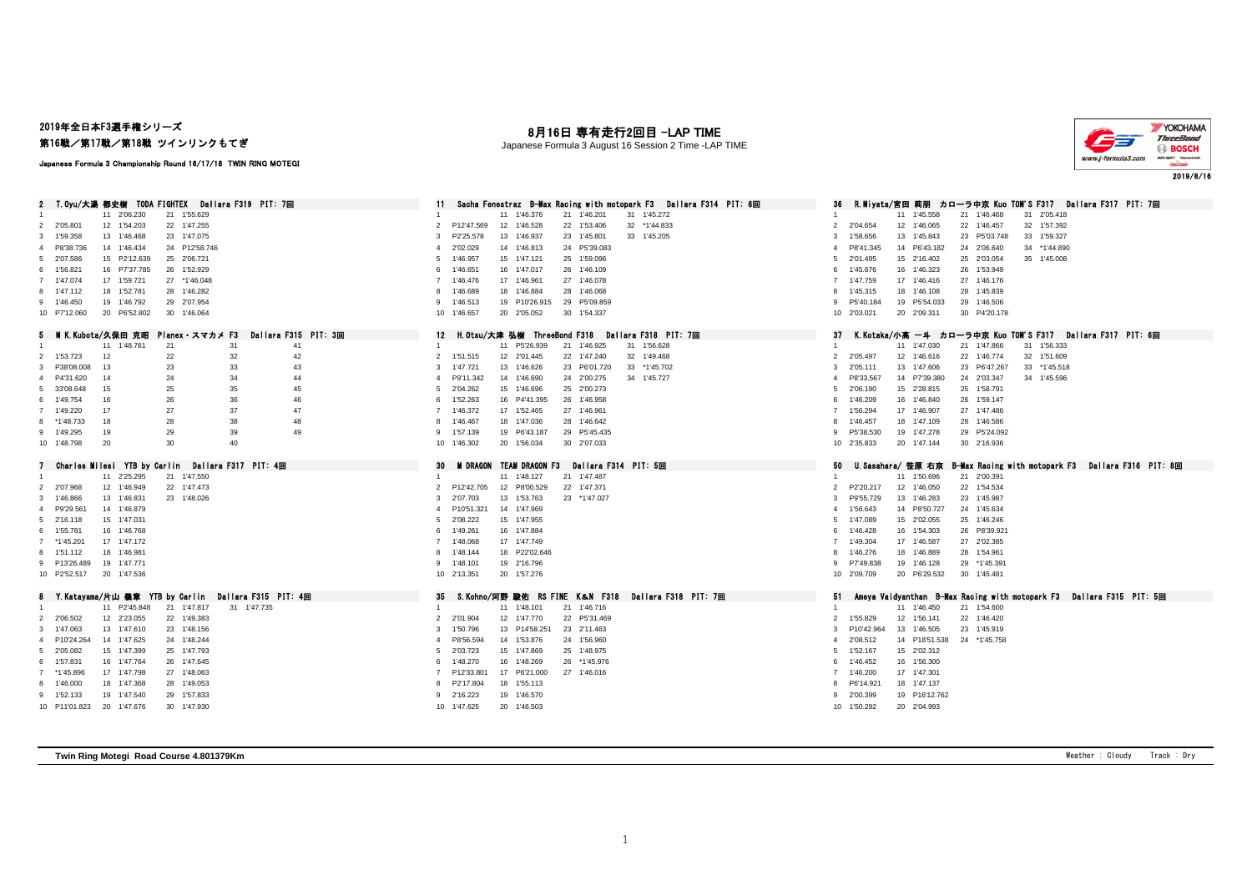## 2019年全日本F3選手権シリーズ 第16戦/第17戦/第18戦 ツインリンクもてぎ

## 月16日 専有走行2回目 -LAP TIME

Japanese Formula 3 August 16 Session 2 Time -LAP TIME



#### Japanese Formula 3 Championship Round 16/17/18 TWIN RING MOTEGI

| 2 T.Oyu/大湯 都史樹 TODA FIGHTEX Dallara F319 PIT: 7回                                                  | Sacha Fenestraz B-Max Racing with motopark F3 Dallara F314 PIT: 6回                      | - R.Miyata/宮田 莉朋 - カローラ中京 Kuo TOM'S F317 - Dallara F317 - PIT: 7回<br>36                                                 |
|---------------------------------------------------------------------------------------------------|-----------------------------------------------------------------------------------------|-------------------------------------------------------------------------------------------------------------------------|
| 11 2'06.230<br>21 1'55.629                                                                        | 11 1'46.376<br>21 1'46.201<br>31 1'45.272                                               | 11 1'45.558<br>21 1'46.468<br>31 2'05.418                                                                               |
| 2 2'05.801<br>12 1'54.203<br>22 1'47.255                                                          | P12'47.569<br>22 1'53.406<br>32 *1'44.833<br>2<br>12 1'46.528                           | 32 1'57.392<br>2 2'04.654<br>12 1'46,065<br>22 1'46.457                                                                 |
| 13 1'46.468<br>23 1'47.075<br>3 1'59.358                                                          | P2'25.578<br>13 1'46.937<br>23 1'45.801<br>33 1'45.205<br>3                             | 13 1'45.843<br>23 P5'03.748<br>33 1'59.327<br>3<br>1'58.656                                                             |
| 14 1'46.434<br>4 P8'38.736<br>24 P12'58.746                                                       | 24 P5'39.083<br>2'02.029<br>14 1'46.813<br>$\overline{4}$                               | P8'41.345<br>14 P6'43.182<br>24 2'06.640<br>34 *1'44.890<br>$\overline{4}$                                              |
| 15 P2'12.639<br>25 2'06.721<br>5 2'07.586                                                         | 25 1'59.096<br>1'46.957<br>15 1'47.121<br>5                                             | 2'01.495<br>15 2'16.402<br>25 2'03.054<br>35 1'45,008<br>5                                                              |
| 6 1'56.821<br>16 P7'37.785<br>26 1'52.929                                                         | 26 1'46.109<br>6<br>1'46.651<br>16 1'47.017                                             | 26 1'53.949<br>1'45.676<br>16 1'46.323<br>6                                                                             |
| 17 1'59.721<br>7 1'47.074<br>27 *1'46.048                                                         | 27 1'46.078<br>7 1'46.476<br>17 1'46.961                                                | 27 1'46.176<br>7 1'47.759<br>17 1'46.416                                                                                |
| 8 1'47.112<br>18 1'52.781<br>28 1'46.282                                                          | 18 1'46.884<br>28 1'46.068<br>8<br>1'46.689                                             | 1'45.315<br>18 1'46.108<br>28 1'45.839<br>8                                                                             |
| 9 1'46.450<br>19 1'46.792<br>29 2'07.954                                                          | 19 P10'26.915<br>29 P5'09.859<br>9 1'46.513                                             | 9 P5'40.184<br>19 P5'54.033<br>29 1'46.506                                                                              |
| 20 P6'52.802<br>30 1'46.064<br>10 P7'12.060                                                       | 10 1'46.657<br>20 2'05.052<br>30 1'54.337                                               | 20 2'09.311<br>30 P4'20.178<br>10 2'03.021                                                                              |
| 5 MIK.Kubota/久保田 克昭 Planex・スマカメ F3<br>Dallara F315 PIT: 3回                                        | 12 H.Otsu/大津 弘樹 ThreeBond F318 Dallara F318 PIT: 7回                                     | K.Kotaka/小高 一斗 カローラ中京 Kuo TOM'S F317 Dallara F317 PIT: 6回<br>37                                                         |
| 11 1'48,761<br>31<br>41<br>21                                                                     | 11 P5'26.939<br>21 1'46.925<br>31 1'56.628<br>$\overline{1}$                            | 11 1'47.030<br>31 1'56.333<br>21 1'47.866<br>$\mathbf{1}$                                                               |
| 2 1'53.723<br>12<br>22<br>32<br>42                                                                | 32 1'49.468<br>2 1'51.515<br>12 2'01.445<br>22 1'47.240                                 | 2 2'05.497<br>12 1'46.616<br>32 1'51.609<br>22 1'46.774                                                                 |
| 3 P38'08.008<br>13<br>23<br>33<br>43                                                              | 3 1'47.721<br>13 1'46.626<br>23 P6'01.720<br>33 *1'45.702                               | 2'05.111<br>13 1'47.606<br>23 P6'47.267<br>33 *1'45.518<br>3                                                            |
| 34<br>44<br>4 P4'31.620<br>24<br>14                                                               | 24 2'00.275<br>34 1'45,727<br>P9'11.342<br>14 1'46.690<br>$\overline{4}$                | 14 P7'39.380<br>24 2'03.347<br>34 1'45.596<br>P8'33.567<br>4                                                            |
| 25<br>35<br>45<br>5 33'08.648<br>15                                                               | 15 1'46.696<br>25 2'00.273<br>2'04.262<br>5                                             | 15 2'28.815<br>25 1'58.791<br>2'06.190<br>5                                                                             |
| 36<br>6 1'49.754<br>16<br>26<br>46                                                                | 26 1'46.958<br>6 1'52.263<br>16 P4'41.395                                               | 26 1'59.147<br>1'46.209<br>16 1'46.840<br>6                                                                             |
| 27<br>37<br>47<br>7 1'49.220<br>17                                                                | 17 1'52.465<br>27 1'46.961<br>7 1'46.372                                                | 17 1'46.907<br>27 1'47.486<br>1'56.294<br>$\overline{7}$                                                                |
| 28<br>38<br>8 *1'48.733<br>18<br>48                                                               | 28 1'46.642<br>18 1'47.036<br>8 1'46.467                                                | 1'46.457<br>18 1'47.109<br>28 1'46.586<br>8                                                                             |
| 39<br>49<br>29<br>9 1'49.295<br>19                                                                | 29 P5'45.435<br>9 1'57.139<br>19 P6'43.187                                              | P5'38.530<br>19 1'47.278<br>29 P5'24.092<br>9                                                                           |
| 30<br>40<br>10 1'48.798<br>20                                                                     | 10 1'46.302<br>20 1'56.034<br>30 2'07.033                                               | 10 2'35.833<br>20 1'47.144<br>30 2'16.936                                                                               |
|                                                                                                   |                                                                                         |                                                                                                                         |
|                                                                                                   | 30<br>M DRAGON TEAM DRAGON F3<br>Dallara F314 PIT: 5回                                   | 50                                                                                                                      |
| Charles Milesi YTB by Carlin Dallara F317 PIT: 4回<br>11 2'25.295<br>21 1'47.550                   | 11 1'48.127<br>21 1'47.487                                                              | B-Max Racing with motopark F3 Dallara F316 PIT: 8回<br>U.Sasahara/ 笹原 右京<br>11 1'50.696<br>21 2'00.391<br>$\overline{1}$ |
| 2 2'07.968<br>12 1'46.949<br>22 1'47.473                                                          | 2 P12'42.705<br>12 P8'00.529<br>22 1'47.371                                             | 22 1'54.534<br>P2'20.217<br>12 1'46.050<br>$\overline{2}$                                                               |
| 3 1'46,866<br>13 1'46.831<br>23 1'48.026                                                          | 13 1'53.763<br>2'07.703<br>23 *1'47.027<br>3                                            | 23 1'45.987<br>P9'55.729<br>13 1'46.283<br>3                                                                            |
| 14 1'46,879<br>4 P9'29.561                                                                        | P10'51.321<br>14 1'47.969<br>$\overline{4}$                                             | 14 P8'50.727<br>24 1'45.634<br>1'56.643<br>$\overline{a}$                                                               |
| 15 1'47.031<br>5 2'16.118                                                                         | 15 1'47.955<br>2'08.222<br>5                                                            | 25 1'46.246<br>1'47.089<br>15 2'02.055<br>5                                                                             |
| 6 1'55.781<br>16 1'46.768                                                                         | 16 1'47.884<br>6 1'49.261                                                               | 16 1'54.303<br>26 P8'39.921<br>1'46.428<br>6                                                                            |
| 7 *1'45.201<br>17 1'47.172                                                                        | 1'48.068<br>17 1'47.749<br>$\overline{7}$                                               | 27 2'02.385<br>1'49.304<br>17 1'46.587                                                                                  |
| 8 1'51.112<br>18 1'46.981                                                                         | 18 P22'02.646<br>8 1'48.144                                                             | 28 1'54.961<br>1'46.276<br>18 1'46.889<br>8                                                                             |
| 9 P13'26.489<br>19 1'47.771                                                                       | 19 2'16.796<br>9 1'48.101                                                               | 9 P7'49.838<br>19 1'46.128<br>29 *1'45.391                                                                              |
| 10 P2'52.517<br>20 1'47.536                                                                       | 10 2'13.351<br>20 1'57.276                                                              | 10 2'09.709<br>20 P6'29.532<br>30 1'45.481                                                                              |
|                                                                                                   |                                                                                         |                                                                                                                         |
| Y.Katayama/片山 義章 YTB by Carlin Dallara F315 PIT: 4回<br>31 1'47.735<br>11 P2'45.848<br>21 1'47.817 | S.Kohno/河野 駿佑 RS FINE K&N F318 Dallara F318 PIT: 7回<br>35<br>21 1'46.716<br>11 1'48.101 | 51<br>Ameya Vaidyanthan B-Max Racing with motopark F3 Dallara F315 PIT: 5回<br>11 1'46.450<br>21 1'54.600                |
| 2 2'06.502<br>12 2'23.055<br>22 1'49.383                                                          | 12 1'47,770<br>22 P5'31.469<br>2 2'01.904                                               | 2 1'55.829<br>12 1'56.141<br>22 1'46.420                                                                                |
| 13 1'47.610<br>3 1'47.063<br>23 1'48.156                                                          | 13 P14'58.251<br>3 1'50.796                                                             | 13 1'46.505<br>P10'42.964<br>23 1'45.919<br>3                                                                           |
| 14 1'47.625<br>24 1'48.244<br>4 P10'24.264                                                        | 23 2'11.463<br>14 1'53.876<br>24 1'56,960<br>P8'56.594<br>4                             | 14 P18'51.538 24 *1'45.758<br>2'08.512<br>$\overline{a}$                                                                |
| 15 1'47.399<br>25 1'47.793<br>5 2'05.082                                                          | 2'03.723<br>15 1'47.869<br>25 1'48.975<br>5                                             | 15 2'02.312<br>1'52.167<br>5                                                                                            |
| 16 1'47.764<br>6 1'57.831<br>26 1'47.645                                                          | 26 *1'45.976<br>6 1'48.270<br>16 1'48.269                                               | 1'46.452<br>16 1'56.300<br>6                                                                                            |
| 7 *1'45.896<br>17 1'47.798<br>27 1'48.063                                                         | P12'33.801<br>17 P6'21.000<br>27 1'46.016<br>$\overline{7}$                             | 1'46.200<br>17 1'47.301<br>$\overline{7}$                                                                               |
| 8 1'46.000<br>18 1'47.368<br>28 1'49.053                                                          | 18 1'55.113<br>8 P2'17.804                                                              | P6'14.921<br>18 1'47.137<br>8                                                                                           |
| 19 1'47.540<br>9 1'52.133<br>29 1'57.833                                                          | 19 1'46.570<br>9 2'16.223                                                               | 19 P16'12.762<br>2'00.399<br>9                                                                                          |
| 10 P11'01.823<br>20 1'47.676<br>30 1'47,930                                                       | 10 1'47.625<br>20 1'46.503                                                              | 10 1'50.292<br>20 2'04.993                                                                                              |

**Twin Ring Motegi Road Course 4.801379Km** Weather : Cloudy Track : Dry